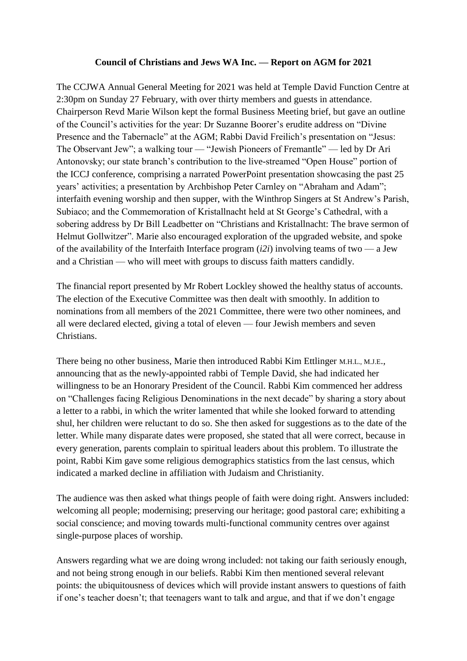## **Council of Christians and Jews WA Inc. — Report on AGM for 2021**

The CCJWA Annual General Meeting for 2021 was held at Temple David Function Centre at 2:30pm on Sunday 27 February, with over thirty members and guests in attendance. Chairperson Revd Marie Wilson kept the formal Business Meeting brief, but gave an outline of the Council's activities for the year: Dr Suzanne Boorer's erudite address on "Divine Presence and the Tabernacle" at the AGM; Rabbi David Freilich's presentation on "Jesus: The Observant Jew"; a walking tour — "Jewish Pioneers of Fremantle" — led by Dr Ari Antonovsky; our state branch's contribution to the live-streamed "Open House" portion of the ICCJ conference, comprising a narrated PowerPoint presentation showcasing the past 25 years' activities; a presentation by Archbishop Peter Carnley on "Abraham and Adam"; interfaith evening worship and then supper, with the Winthrop Singers at St Andrew's Parish, Subiaco; and the Commemoration of Kristallnacht held at St George's Cathedral, with a sobering address by Dr Bill Leadbetter on "Christians and Kristallnacht: The brave sermon of Helmut Gollwitzer". Marie also encouraged exploration of the upgraded website, and spoke of the availability of the Interfaith Interface program (*i2i*) involving teams of two — a Jew and a Christian — who will meet with groups to discuss faith matters candidly.

The financial report presented by Mr Robert Lockley showed the healthy status of accounts. The election of the Executive Committee was then dealt with smoothly. In addition to nominations from all members of the 2021 Committee, there were two other nominees, and all were declared elected, giving a total of eleven — four Jewish members and seven Christians.

There being no other business, Marie then introduced Rabbi Kim Ettlinger M.H.L., M.J.E., announcing that as the newly-appointed rabbi of Temple David, she had indicated her willingness to be an Honorary President of the Council. Rabbi Kim commenced her address on "Challenges facing Religious Denominations in the next decade" by sharing a story about a letter to a rabbi, in which the writer lamented that while she looked forward to attending shul, her children were reluctant to do so. She then asked for suggestions as to the date of the letter. While many disparate dates were proposed, she stated that all were correct, because in every generation, parents complain to spiritual leaders about this problem. To illustrate the point, Rabbi Kim gave some religious demographics statistics from the last census, which indicated a marked decline in affiliation with Judaism and Christianity.

The audience was then asked what things people of faith were doing right. Answers included: welcoming all people; modernising; preserving our heritage; good pastoral care; exhibiting a social conscience; and moving towards multi-functional community centres over against single-purpose places of worship.

Answers regarding what we are doing wrong included: not taking our faith seriously enough, and not being strong enough in our beliefs. Rabbi Kim then mentioned several relevant points: the ubiquitousness of devices which will provide instant answers to questions of faith if one's teacher doesn't; that teenagers want to talk and argue, and that if we don't engage